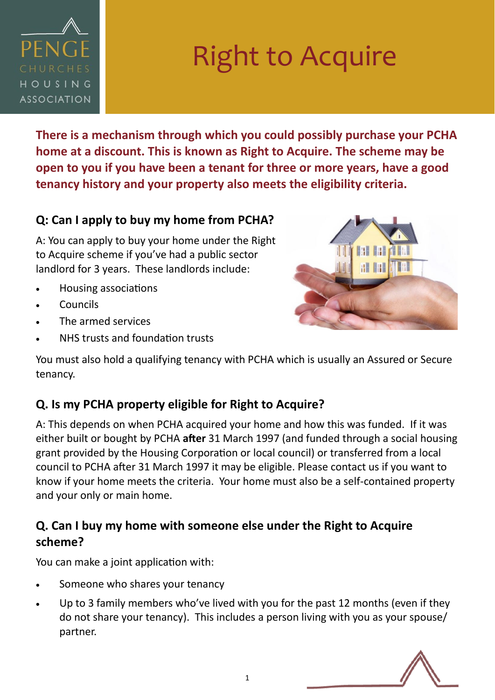

# Right to Acquire

**There is a mechanism through which you could possibly purchase your PCHA home at a discount. This is known as Right to Acquire. The scheme may be open to you if you have been a tenant for three or more years, have a good tenancy history and your property also meets the eligibility criteria.** 

#### **Q: Can I apply to buy my home from PCHA?**

A: You can apply to buy your home under the Right to Acquire scheme if you've had a public sector landlord for 3 years. These landlords include:

- Housing associations
- **Councils**
- The armed services
- NHS trusts and foundation trusts



You must also hold a qualifying tenancy with PCHA which is usually an Assured or Secure tenancy.

## **Q. Is my PCHA property eligible for Right to Acquire?**

A: This depends on when PCHA acquired your home and how this was funded. If it was either built or bought by PCHA **after** 31 March 1997 (and funded through a social housing grant provided by the Housing Corporation or local council) or transferred from a local council to PCHA after 31 March 1997 it may be eligible. Please contact us if you want to know if your home meets the criteria. Your home must also be a self-contained property and your only or main home.

## **Q. Can I buy my home with someone else under the Right to Acquire scheme?**

You can make a joint application with:

- Someone who shares your tenancy
- Up to 3 family members who've lived with you for the past 12 months (even if they do not share your tenancy). This includes a person living with you as your spouse/ partner.

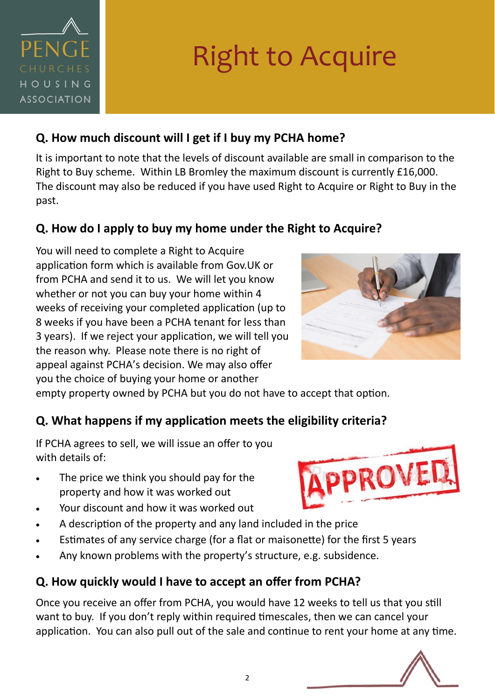

# Right to Acquire

#### **Q. How much discount will I get if I buy my PCHA home?**

It is important to note that the levels of discount available are small in comparison to the Right to Buy scheme. Within LB Bromley the maximum discount is currently £16,000. The discount may also be reduced if you have used Right to Acquire or Right to Buy in the past.

#### **Q. How do I apply to buy my home under the Right to Acquire?**

You will need to complete a Right to Acquire application form which is available from Gov.UK or from PCHA and send it to us. We will let you know whether or not you can buy your home within 4 weeks of receiving your completed application (up to 8 weeks if you have been a PCHA tenant for less than 3 years). If we reject your application, we will tell you the reason why. Please note there is no right of appeal against PCHA's decision. We may also offer you the choice of buying your home or another



empty property owned by PCHA but you do not have to accept that option.

#### **Q. What happens if my application meets the eligibility criteria?**

If PCHA agrees to sell, we will issue an offer to you with details of:

- The price we think you should pay for the property and how it was worked out
- Your discount and how it was worked out
- A description of the property and any land included in the price
- Estimates of any service charge (for a flat or maisonette) for the first 5 years
- Any known problems with the property's structure, e.g. subsidence.

## **Q. How quickly would I have to accept an offer from PCHA?**

Once you receive an offer from PCHA, you would have 12 weeks to tell us that you still want to buy. If you don't reply within required timescales, then we can cancel your application. You can also pull out of the sale and continue to rent your home at any time.